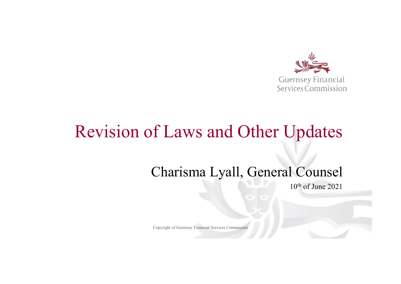

### Revision of Laws and Other Updates

#### Charisma Lyall, General Counsel

10<sup>th</sup> of June 2021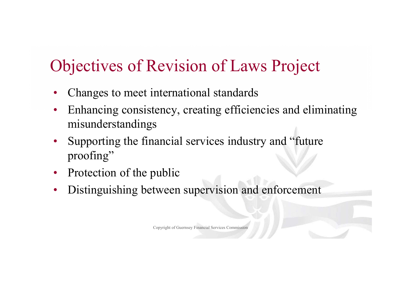# Objectives of Revision of Laws Project

- Changes to meet international standards
- Enhancing consistency, creating efficiencies and eliminating misunderstandings
- Supporting the financial services industry and "future proofing"
- Protection of the public
- Distinguishing between supervision and enforcement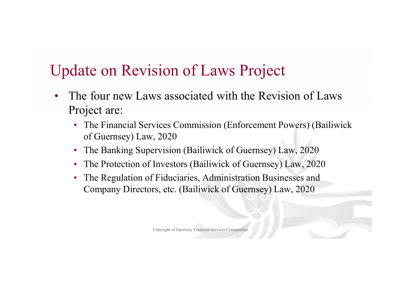### Update on Revision of Laws Project

- The four new Laws associated with the Revision of Laws Project are:
	- The Financial Services Commission (Enforcement Powers) (Bailiwick of Guernsey) Law, 2020
	- The Banking Supervision (Bailiwick of Guernsey) Law, 2020
	- The Protection of Investors (Bailiwick of Guernsey) Law, 2020
	- The Regulation of Fiduciaries, Administration Businesses and Company Directors, etc. (Bailiwick of Guernsey) Law, 2020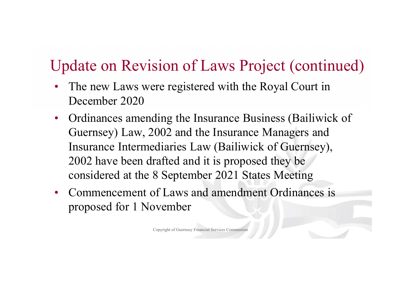#### Update on Revision of Laws Project (continued)

- The new Laws were registered with the Royal Court in December 2020
- Ordinances amending the Insurance Business (Bailiwick of Guernsey) Law, 2002 and the Insurance Managers and Insurance Intermediaries Law (Bailiwick of Guernsey), 2002 have been drafted and it is proposed they be considered at the 8 September 2021 States Meeting
- Commencement of Laws and amendment Ordinances is proposed for 1 November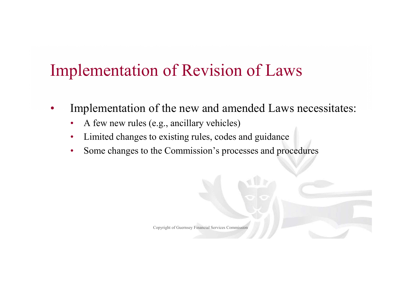# Implementation of Revision of Laws

- Implementation of the new and amended Laws necessitates:
	- A few new rules (e.g., ancillary vehicles)
	- Limited changes to existing rules, codes and guidance
	- Some changes to the Commission's processes and procedures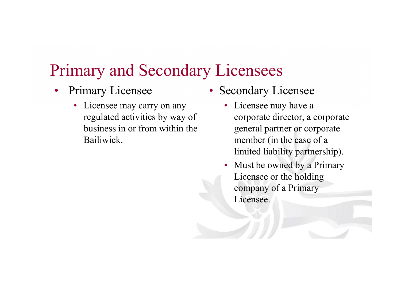#### Primary and Secondary Licensees

- Primary Licensee
	- Licensee may carry on any regulated activities by way of business in or from within the Bailiwick.
- Secondary Licensee
	- Licensee may have a corporate director, a corporate general partner or corporate member (in the case of a limited liability partnership).
	- Must be owned by a Primary Licensee or the holding company of a Primary Licensee.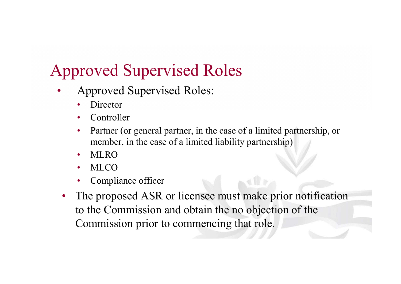# Approved Supervised Roles

- Approved Supervised Roles:
	- **Director**
	- **Controller**
	- Partner (or general partner, in the case of a limited partnership, or member, in the case of a limited liability partnership)
	- MLRO
	- MLCO
	- Compliance officer
	- The proposed ASR or licensee must make prior notification to the Commission and obtain the no objection of the Commission prior to commencing that role.